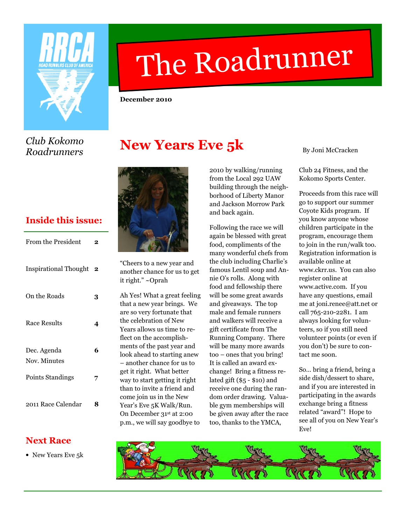

# The Roadrunner

December 2010

Club Kokomo Roadrunners

# New Years Eve 5k



| <b>From the President</b>    | 2                       |
|------------------------------|-------------------------|
| <b>Inspirational Thought</b> | $\overline{\mathbf{2}}$ |
| On the Roads                 | 3                       |
| <b>Race Results</b>          | 4                       |
| Dec. Agenda<br>Nov. Minutes  | 6                       |
| Points Standings             | 7                       |
| 2011 Race Calendar           |                         |



"Cheers to a new year and another chance for us to get it right." ~Oprah

Ah Yes! What a great feeling that a new year brings. We are so very fortunate that the celebration of New Years allows us time to reflect on the accomplishments of the past year and look ahead to starting anew – another chance for us to get it right. What better way to start getting it right than to invite a friend and come join us in the New Year's Eve 5K Walk/Run. On December 31st at 2:00 p.m., we will say goodbye to

2010 by walking/running from the Local 292 UAW building through the neighborhood of Liberty Manor and Jackson Morrow Park and back again.

Following the race we will again be blessed with great food, compliments of the many wonderful chefs from the club including Charlie's famous Lentil soup and Annie O's rolls. Along with food and fellowship there will be some great awards and giveaways. The top male and female runners and walkers will receive a gift certificate from The Running Company. There will be many more awards too – ones that you bring! It is called an award exchange! Bring a fitness related gift (\$5 - \$10) and receive one during the random order drawing. Valuable gym memberships will be given away after the race too, thanks to the YMCA,

By Joni McCracken

Club 24 Fitness, and the Kokomo Sports Center.

Proceeds from this race will go to support our summer Coyote Kids program. If you know anyone whose children participate in the program, encourage them to join in the run/walk too. Registration information is available online at www.ckrr.us. You can also register online at www.active.com. If you have any questions, email me at joni.renee@att.net or call 765-210-2281. I am always looking for volunteers, so if you still need volunteer points (or even if you don't) be sure to contact me soon.

So… bring a friend, bring a side dish/dessert to share, and if you are interested in participating in the awards exchange bring a fitness related "award"! Hope to see all of you on New Year's Eve!

### Next Race

• New Years Eve 5k

![](_page_0_Picture_18.jpeg)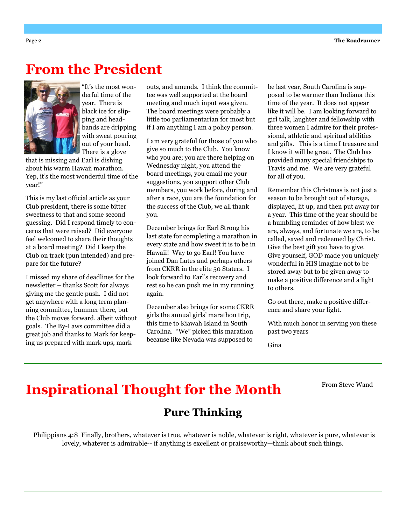### From the President

![](_page_1_Picture_2.jpeg)

"It's the most wonderful time of the year. There is black ice for slipping and headbands are dripping with sweat pouring out of your head. There is a glove

that is missing and Earl is dishing about his warm Hawaii marathon. Yep, it's the most wonderful time of the year!"

This is my last official article as your Club president, there is some bitter sweetness to that and some second guessing. Did I respond timely to concerns that were raised? Did everyone feel welcomed to share their thoughts at a board meeting? Did I keep the Club on track (pun intended) and prepare for the future?

I missed my share of deadlines for the newsletter – thanks Scott for always giving me the gentle push. I did not get anywhere with a long term planning committee, bummer there, but the Club moves forward, albeit without goals. The By-Laws committee did a great job and thanks to Mark for keeping us prepared with mark ups, mark

outs, and amends. I think the committee was well supported at the board meeting and much input was given. The board meetings were probably a little too parliamentarian for most but if I am anything I am a policy person.

I am very grateful for those of you who give so much to the Club. You know who you are; you are there helping on Wednesday night, you attend the board meetings, you email me your suggestions, you support other Club members, you work before, during and after a race, you are the foundation for the success of the Club, we all thank you.

December brings for Earl Strong his last state for completing a marathon in every state and how sweet it is to be in Hawaii! Way to go Earl! You have joined Dan Lutes and perhaps others from CKRR in the elite 50 Staters. I look forward to Earl's recovery and rest so he can push me in my running again.

December also brings for some CKRR girls the annual girls' marathon trip, this time to Kiawah Island in South Carolina. "We" picked this marathon because like Nevada was supposed to

be last year, South Carolina is supposed to be warmer than Indiana this time of the year. It does not appear like it will be. I am looking forward to girl talk, laughter and fellowship with three women I admire for their professional, athletic and spiritual abilities and gifts. This is a time I treasure and I know it will be great. The Club has provided many special friendships to Travis and me. We are very grateful for all of you.

Remember this Christmas is not just a season to be brought out of storage, displayed, lit up, and then put away for a year. This time of the year should be a humbling reminder of how blest we are, always, and fortunate we are, to be called, saved and redeemed by Christ. Give the best gift you have to give. Give yourself, GOD made you uniquely wonderful in HIS imagine not to be stored away but to be given away to make a positive difference and a light to others.

Go out there, make a positive difference and share your light.

With much honor in serving you these past two years

Gina

# Inspirational Thought for the Month

From Steve Wand

### Pure Thinking

Philippians 4:8 Finally, brothers, whatever is true, whatever is noble, whatever is right, whatever is pure, whatever is lovely, whatever is admirable-- if anything is excellent or praiseworthy—think about such things.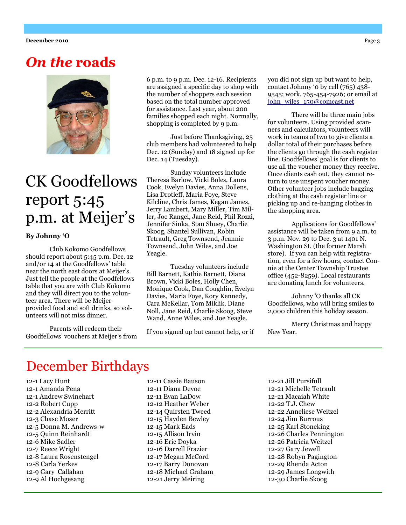## On the roads

![](_page_2_Picture_2.jpeg)

# CK Goodfellows report 5:45 p.m. at Meijer's

#### By Johnny 'O

Club Kokomo Goodfellows should report about 5:45 p.m. Dec. 12 and/or 14 at the Goodfellows' table near the north east doors at Meijer's. Just tell the people at the Goodfellows table that you are with Club Kokomo and they will direct you to the volunteer area. There will be Meijerprovided food and soft drinks, so volunteers will not miss dinner.

Parents will redeem their Goodfellows' vouchers at Meijer's from 6 p.m. to 9 p.m. Dec. 12-16. Recipients are assigned a specific day to shop with the number of shoppers each session based on the total number approved for assistance. Last year, about 200 families shopped each night. Normally, shopping is completed by 9 p.m.

Just before Thanksgiving, 25 club members had volunteered to help Dec. 12 (Sunday) and 18 signed up for Dec. 14 (Tuesday).

Sunday volunteers include Theresa Barlow, Vicki Boles, Laura Cook, Evelyn Davies, Anna Dollens, Lisa Drotleff, Maria Foye, Steve Kilcline, Chris James, Kegan James, Jerry Lambert, Mary Miller, Tim Miller, Joe Rangel, Jane Reid, Phil Rozzi, Jennifer Sinka, Stan Shuey, Charlie Skoog, Shantel Sullivan, Robin Tetrault, Greg Townsend, Jeannie Townsend, John Wiles, and Joe Yeagle.

Tuesday volunteers include Bill Barnett, Kathie Barnett, Diana Brown, Vicki Boles, Holly Chen, Monique Cook, Dan Coughlin, Evelyn Davies, Maria Foye, Kory Kennedy, Cara McKellar, Tom Miklik, Diane Noll, Jane Reid, Charlie Skoog, Steve Wand, Anne Wiles, and Joe Yeagle.

If you signed up but cannot help, or if

you did not sign up but want to help, contact Johnny '0 by cell (765) 438- 9545; work, 765-454-7926; or email at john\_wiles\_150@comcast.net

There will be three main jobs for volunteers. Using provided scanners and calculators, volunteers will work in teams of two to give clients a dollar total of their purchases before the clients go through the cash register line. Goodfellows' goal is for clients to use all the voucher money they receive. Once clients cash out, they cannot return to use unspent voucher money. Other volunteer jobs include bagging clothing at the cash register line or picking up and re-hanging clothes in the shopping area.

Applications for Goodfellows' assistance will be taken from 9 a.m. to 3 p.m. Nov. 29 to Dec. 3 at 1401 N. Washington St. (the former Marsh store). If you can help with registration, even for a few hours, contact Connie at the Center Township Trustee office (452-8259). Local restaurants are donating lunch for volunteers.

Johnny 'O thanks all CK Goodfellows, who will bring smiles to 2,000 children this holiday season.

Merry Christmas and happy New Year.

### December Birthdays

12-1 Lacy Hunt 12-1 Amanda Pena 12-1 Andrew Swinehart 12-2 Robert Cupp 12-2 Alexandria Merritt 12-3 Chase Moser 12-5 Donna M. Andrews-w 12-5 Quinn Reinhardt 12-6 Mike Sadler 12-7 Reece Wright 12-8 Laura Rosenstengel 12-8 Carla Yerkes 12-9 Gary Callahan 12-9 Al Hochgesang

12-11 Cassie Bauson 12-11 Diana Deyoe 12-11 Evan LaDow 12-12 Heather Weber 12-14 Quirsten Tweed 12-15 Hayden Bewley 12-15 Mark Eads 12-15 Allison Irvin 12-16 Eric Doyka 12-16 Darrell Frazier 12-17 Megan McCord 12-17 Barry Donovan 12-18 Michael Graham 12-21 Jerry Meiring

12-21 Jill Pursifull 12-21 Michelle Tetrault 12-21 Macaiah White 12-22 T.J. Chew 12-22 Anneliese Weitzel 12-24 Jim Burrous 12-25 Karl Stoneking 12-26 Charles Pennington 12-26 Patricia Weitzel 12-27 Gary Jewell 12-28 Robyn Pagington 12-29 Rhenda Acton 12-29 James Longwith 12-30 Charlie Skoog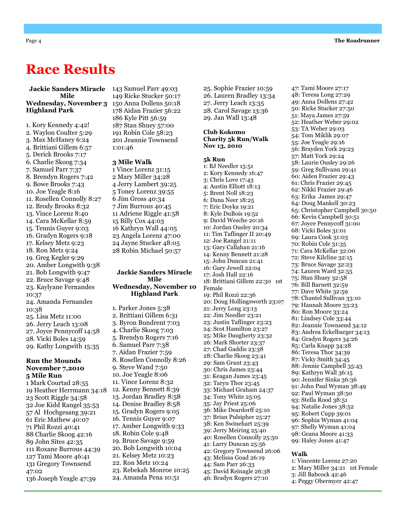## Race Results

#### Jackie Sanders Miracle Mile Wednesday, November 3 Highland Park

1. Kory Kennedy 4:42! 2. Waylon Coulter 5:29 3. Max McHaney 6:24 4. Brittiani Gillem 6:57 5. Derick Brooks 7:17 6. Charlie Skoog 7:34 7. Samuel Parr 7:37 8. Brendyn Rogers 7:42 9. Bowe Brooks 7:43 10. Joe Yeagle 8:16 11. Rosellen Connolly 8:27 12. Brody Brooks 8:32 13. Vince Lorenz 8:40 14. Cara McKellar 8:59 15. Tennis Guyer 9:03 16. Gradyn Rogers 9:18 17. Kelsey Metz 9:23 18. Ron Metz 9:24 19. Greg Kegler 9:29 20. Amber Longwith 9:38 21. Bob Longwith 9:47 22. Bruce Savage 9:48 23. Kaylyane Fernandes 10:37 24. Amanda Fernandes 10:38 25. Lisa Metz 11:00 26. Jerry Leach 13:08 27. Joyce Pennycoff 14:58 28. Vicki Boles 14:59 29. Kathy Longwith 15:35 Run the Mounds November 7,2010 5 Mile Run 1 Mark Courtad 28:55 19 Heather Herrmann 34:18

23 Scott Riggle 34:58 32 Joe Kidd Rangel 35:53 57 Al Hochgesang 39:21 61 Eric Mathew 40:07 71 Phil Rozzi 40:41 88 Charlie Skoog 42:16 89 John Sites 42:35 111 Roxane Burrous 44:39 127 Tami Moore 46:41 131 Gregory Townsend 47:02 136 Joseph Yeagle 47:39

143 Samuel Parr 49:03 149 Ricke Stucker 50:17 150 Anna Dollens 50:18 178 Aidan Frazier 56:22 186 Kyle Pitt 56:59 187 Stan Shuey 57:00 191 Robin Cole 58:23 201 Jeannie Townsend 1:01:46

#### 3 Mile Walk

1 Vince Lorenz 31:15 2 Mary Miller 34:28 4 Jerry Lambert 39:25 5 Toney Lorenz 39:55 6 Jim Gross 40:34 7 Jim Burrous 40:45 11 Adriene Riggle 41:58 15 Billy Cox 44:03 16 Kathryn Wall 44:05 23 Angela Lorenz 47:00 24 Jayne Stucker 48:05 28 Robin Michael 50:57

#### Jackie Sanders Miracle Mile Wednesday, November 10 Highland Park

1. Parker Jones 5:38 2. Brittiani Gillem 6:31 3. Byron Bundrent 7:03 4. Charlie Skoog 7:03 5. Brendyn Rogers 7:16 6. Samuel Parr 7:38 7. Aidan Frazier 7:59 8. Rosellen Connolly 8:26 9. Steve Wand 7:50 10. Joe Yeagle 8:06 11. Vince Lorenz 8:32 12. Kenny Bennett 8:39 13. Jordan Bradley 8:58 14. Denise Bradley 8:58 15. Gradyn Rogers 9:05 16. Tennis Guyer 9:07 17. Amber Longwith 9:33 18. Robin Cole 9:48 19. Bruce Savage 9:59 20. Bob Longwith 10:04 21. Kelsey Metz 10:23 22. Ron Metz 10:24 23. Rebekah Monroe 10:25 24. Amanda Pena 10:51

25. Sophie Frazier 10:59 26. Lauren Bradley 13:34 27. Jerry Leach 13:35 28. Carol Savage 13:36 29. Jan Wall 13:48

#### Club Kokomo Charity 5k Run/Walk Nov 13, 2010

#### 5k Run

1: BJ Needler 15:51 2: Kory Kennedy 16:47 3: Chris Love 17:43 4: Austin Elliott 18:13 5: Brent Noll 18:23 6: Dana Neer 18:25 7: Eric Doyka 19:21 8: Kyle DuBois 19:52 9: David Wesche 20:16 10: Jordan Ousley 20:34 11: Tim Taflinger II 20:49 12: Joe Rangel 21:11 13: Gary Callahan 21:16 14: Kenny Bennett 21:28 15: John Duncan 21:41 16: Gary Jewell 22:04 17: Josh Hall 22:16 18: Brittiani Gillem 22:30 1st Female 19: Phil Rozzi 22:36 20: Doug Hollingsworth 23:07 21: Jerry Long 23:13 22: Jim Needler 23:21 23: Justin Taflinger 23:23 24: Scot Hamilton 23:27 25: Mike Daugherty 23:32 26: Mark Shorter 23:37 27: Chad Gaddis 23:38 28: Charlie Skoog 23:41 29: Sam Grant 23:43 30: Chris James 23:44 31: Keagan James 23:45 32: Taryn Thor 23:45 33: Michael Graham 24:37 34: Tony White 25:05 35: Jay Priest 25:06 36: Mike Deardorff 25:10 37: Brian Pulsipher 25:27 38: Ken Swinehart 25:39 39: Jerry Meiring 25:40 40: Rosellen Connolly 25:50 41: Larry Duncan 25:56 42: Gregory Townsend 26:06 43: Melissa Goad 26:19 44: Sam Parr 26:33 45: David Reinagle 26:38 46: Bradyn Rogers 27:10

47: Tami Moore 27:17

48: Teresa Long 27:29 49: Anna Dollens 27:42 50: Ricke Stucker 27:50 51: Maya James 27:59 52: Heather Weber 29:02 53: TA Weber 29:03 54: Tom Miklik 29:07 55: Joe Yeagle 29:16 56: Brayden York 29:23 57: Matt York 29:24 58: Laurie Ousley 29:26 59: Greg Sullivann 29:41 60: Aiden Frazier 29:43 61: Chris Frazier 29:45 62: Nikki Frazier 29:46 63: Erika James 29:47 64: Doug Mankell 30:23 65: Christopher Campbell 30:50 66: Kevin Campbell 30:51 67: Joyce Pennycoff 31:00 68: Vicki Boles 31:01 69: Laura Cook 31:03 70: Robin Cole 31:35 71: Cara McKellar 32:00 72: Steve Kilcline 32:15 73: Bruce Savage 32:23 74: Lauren Ward 32:55 75: Stan Shuey 32:58 76: Bill Barnett 32:59 77: Dave White 32:59 78: Chantel Sullivan 33:10 79: Hannah Moore 33:23 80: Ron Moore 33:24 81: Lindsey Cole 33:44 82: Jeannie Townsend 34:12 83: Andrea Eckelbarger 34:13 84: Gradyn Rogers 34:26 85: Carla Knapp 34:28 86: Teresa Thor 34:39 87: Vicky Smith 34:45 88: Jennie Campbell 35:43 89: Kathryn Wall 36:15 90: Jennifer Sinka 36:36 91: John Paul Wyman 38:49 92: Paul Wyman 38:50 93: Stella Rood 38:51 94: Natalie Jones 38:52 95: Robert Cupp 39:01 96: Sophia Wyman 41:04 97: Shelly Wyman 41:04 98: Geana Moore 41:33 99: Haley Jones 41:47

#### Walk

- 1: Vincente Lorenz 27:20
- 2: Mary Miller 34:21 1st Female
- 3: Jill Babcock 42:46
- 4: Peggy Obermyer 42:47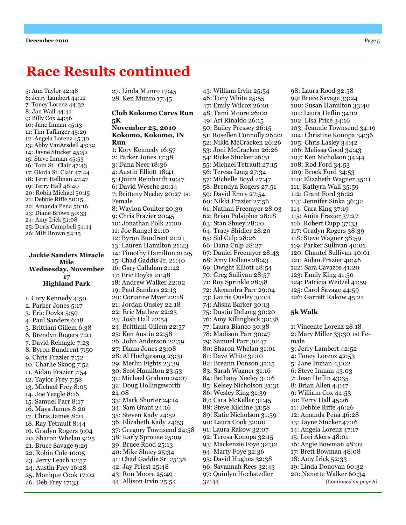### Race Results continued

5: Ann Taylor 42:48 6: Jerry Lambert 44:12 7: Toney Lorenz 44:32 8: Jan Wall 44:41 9: Billy Cox 44:56 10: Jane Inman 45:13 11: Tim Taflinger 45:29 12: Angela Lorenz 45:30 13: Abby VanArsdell 45:32 14: Jayne Stucker 45:52 15: Steve Inman 45:53 16: Tom St. Clair 47:43 17: Gloria St. Clair 47:44 18: Terri Hellman 47:47 19: Terry Hall 48:40 20: Robin Michael 50:15 21: Debbie Riffe 50:15 22: Amanda Pena 50:16 23: Diane Brown 50:33 24: Amy Irick 51:08 25: Doris Campbell 54:14 26: Milt Brown 54:15

#### Jackie Sanders Miracle Mile Wednesday, November 17 Highland Park

1. Cory Kennedy 4:50 2. Parker Jones 5:17 3. Eric Doyka 5:59 4. Paul Sanders 6:18 5. Brittiani Gillem 6:38 6. Brendyn Rogers 7:21 7. David Reinagle 7:23 8. Byron Bundrent 7:50 9. Chris Frazier 7:52 10. Charlie Skoog 7:52 11. Aidan Frazier 7:54 12. Taylor Frey 7:58 13. Michael Frey 8:05 14. Joe Yeagle 8:16 15. Samuel Parr 8:17 16. Maya James 8:20 17. Chris James 8:21 18. Ray Tetrault 8:44 19. Gradyn Rogers 9:04 20. Sharon Whelan 9:25 21. Bruce Savage 9:29 22. Robin Cole 10:05 23. Jerry Leach 12:57 24. Austin Frey 16:28 25. Monique Cook 17:02 26. Deb Frey 17:33

27. Linda Munro 17:45 28. Ken Munro 17:45

#### Club Kokomo Cares Run 5K November 25, 2010 Kokomo, Kokomo, IN Run

1: Kory Kennedy 16:57 2: Parker Jones 17:38 3: Dana Neer 18:36 4: Austin Elliott 18:41 5: Quinn Reinhardt 19:47 6: David Wesche 20:14 7: Brittany Neeley 20:27 1st Female 8: Waylon Coulter 20:39 9: Chris Frazier 20:45 10: Jonathan Polk 21:00 11: Joe Rangel 21:10 12: Byron Bundrent 21:21 13: Lauren Hamilton 21:23 14: Timothy Hamilton 21:25 15: Chad Gaddis Jr. 21:40 16: Gary Callahan 21:42 17: Eric Doyka 21:48 18: Andrew Walker 22:02 19: Paul Sanders 22:13 20: Corianne Myer 22:18 21: Jordan Ousley 22:18 22: Eric Mathew 22:25 23: Josh Hall 22:54 24: Brittiani Gillem 22:57 25: Ken Austin 22:58 26: John Anderson 22:59 27: Diana Jones 23:08 28: Al Hochgesang 23:31 29: Merlin Fights 23:39 30: Scot Hamilton 23:53 31: Michael Graham 24:07 32: Doug Hollingsworth 24:08 33: Mark Shorter 24:14 34: Sam Grant 24:16 35: Steven Kady 24:52 36: Elizabeth Kady 24:53 37: Gregory Townsend 24:58 38: Karly Sprouse 25:09 39: Bruce Rood 25:13 40: Mike Shuey 25:34 41: Chad Gaddis Sr. 25:38 42: Jay Priest 25:48 43: Ron Moore 25:49 44: Allison Irvin 25:54

45: William Irvin 25:54 46: Tony White 25:55 47: Emily Wilcox 26:01 48: Tami Moore 26:02 49: Ari Rinaldo 26:15 50: Bailey Pressey 26:15 51: Rosellen Connolly 26:22 52: Nikki McCracken 26:26 53: Joni McCracken 26:26 54: Ricke Stucker 26:51 55: Michael Tetrault 27:15 56: Teresa Long 27:34 57: Michelle Boyd 27:47 58: Brendyn Rogers 27:51 59: David Emry 27:54 60: Nikki Frazier 27:56 61: Nathan Freemyer 28:03 62: Brian Pulsipher 28:18 63: Stan Shuey 28:20 64: Tracy Shidler 28:20 65: Sid Culp 28:26 66: Dana Culp 28:27 67: Daniel Freemyer 28:43 68: Amy Dollens 28:43 69: Dwight Elliott 28:54 70: Greg Sullivan 28:57 71: Roy Sprinkle 28:58 72: Alexandra Parr 29:04 73: Laurie Ousley 30:01 74: Alisha Barker 30:13 75: Dustin DeLong 30:20 76: Amy Killingbeck 30:38 77: Laura Bianco 30:38 78: Madison Parr 30:47 79: Samuel Parr 30:47 80: Sharon Whelan 31:01 81: Dave White 31:10 82: Breann Donson 31:15 83: Sarah Wagner 31:16 84: Bethany Neeley 31:16 85: Kelsey Nicholson 31:31 86: Wesley King 31:39 87: Cara McKeller 31:45 88: Steve Kilcline 31:58 89: Katie Nicholson 31:59 90: Laura Cook 32:00 91: Laura Rakow 32:07 92: Teresa Konopa 32:15 93: Mackenzie Foye 32:32 94: Marty Foye 32:36 95: David Hughes 32:38 96: Savannah Rees 32:43 97: Quinlyn Hochstedler 32:44

98: Laura Rood 32:58 99: Bruce Savage 33:24 100: Susan Hamilton 33:40 101: Laura Heflin 34:12 102: Lisa Price 34:16 103: Jeannie Townsend 34:19 104: Christine Konopa 34:36 105: Chris Lasley 34:42 106: Melissa Good 34:43 107: Ken Nicholson 34:44 108: Rod Ford 34:53 109: Brock Ford 34:53 110: Elizabeth Wagner 35:11 111: Kathyrn Wall 35:59 112: Grant Ford 36:22 113: Jennifer Sinka 36:32 114: Cara King 37:19 115: Anita Frazier 37:27 116: Robert Cupp 37:33 117: Gradyn Rogers 38:39 118: Steve Wagner 38:59 119: Parker Sullivan 40:01 120: Chantel Sullivan 40:01 121: Aidan Frazier 40:46 122: Sara Cavazos 41:20 123: Emily King 41:50 124: Patricia Weitzel 41:59 125: Carol Savage 44:59 126: Garrett Rakow 45:21

#### 5k Walk

1: Vincente Lorenz 28:18 2: Mary Miller 33:30 1st Female 3: Jerry Lambert 42:52 4: Toney Lorenz 42:53 5: Jane Inman 43:02 6: Steve Inman 43:03 7: Jean Heflin 43:35 8: Brian Allen 44:47 9: William Cox 44:53 10: Terry Hall 45:26 11: Debbie Riffe 46:26 12: Amanda Pena 46:28 13: Jayne Stucker 47:16 14: Angela Lorenz 47:17 15: Lori Akers 48:01 16: Angie Bowman 48:02 17: Brett Bowman 48:08 18: Amy Irick 52:33 19: Linda Donovan 60:32 20: Nanette Walker 60:34 (Continued on page 6)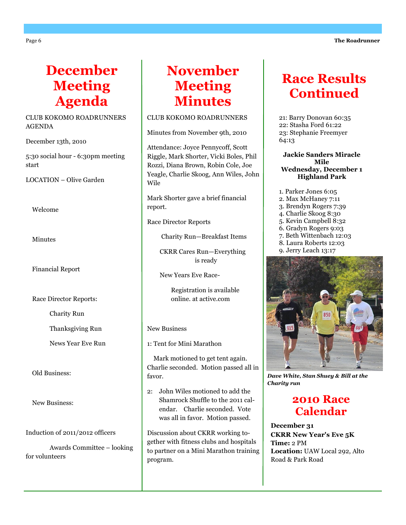# December Meeting Agenda

#### CLUB KOKOMO ROADRUNNERS AGENDA

December 13th, 2010

5:30 social hour - 6:30pm meeting start

LOCATION – Olive Garden

Welcome

Minutes

Financial Report

Race Director Reports:

Charity Run

Thanksgiving Run

News Year Eve Run

Old Business:

New Business:

Induction of 2011/2012 officers

 Awards Committee – looking for volunteers

# November Meeting **Minutes**

#### CLUB KOKOMO ROADRUNNERS

Minutes from November 9th, 2010

Attendance: Joyce Pennycoff, Scott Riggle, Mark Shorter, Vicki Boles, Phil Rozzi, Diana Brown, Robin Cole, Joe Yeagle, Charlie Skoog, Ann Wiles, John Wile

Mark Shorter gave a brief financial report.

Race Director Reports

Charity Run—Breakfast Items

 CKRR Cares Run—Everything is ready

New Years Eve Race-

 Registration is available online. at active.com

#### New Business

1: Tent for Mini Marathon

 Mark motioned to get tent again. Charlie seconded. Motion passed all in favor.

2: John Wiles motioned to add the Shamrock Shuffle to the 2011 calendar. Charlie seconded. Vote was all in favor. Motion passed.

Discussion about CKRR working together with fitness clubs and hospitals to partner on a Mini Marathon training program.

# Race Results **Continued**

21: Barry Donovan 60:35 22: Stasha Ford 61:22 23: Stephanie Freemyer 64:13

#### Jackie Sanders Miracle Mile Wednesday, December 1 Highland Park

- 1. Parker Jones 6:05 2. Max McHaney 7:11
- 3. Brendyn Rogers 7:39
- 4. Charlie Skoog 8:30
- 5. Kevin Campbell 8:32
- 6. Gradyn Rogers 9:03
- 7. Beth Wittenbach 12:03
- 8. Laura Roberts 12:03
- 9. Jerry Leach 13:17

![](_page_5_Picture_43.jpeg)

Dave White, Stan Shuey & Bill at the Charity run

### 2010 Race Calendar

December 31 CKRR New Year's Eve 5K Time: 2 PM Location: UAW Local 292, Alto Road & Park Road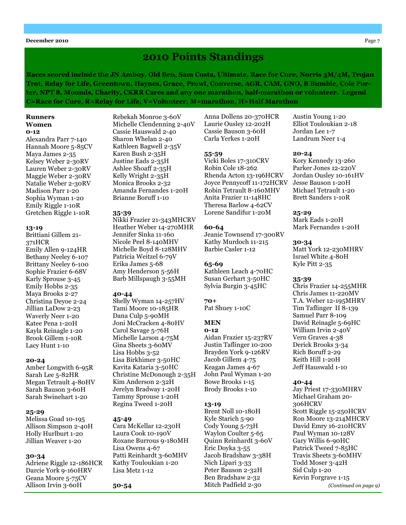#### **December 2010** Page 7

### 2010 Points Standings

Races scored include the JN Amboy, Old Ben, Sam Costa, Ultimate, Race for Cure, Norris 3M/4M, Trojan Trot, Relay for Life, Greentown, Haynes, Grace, Prowl, Converse, AGR, CAM, GNO, B Bumble, Cole Porter, NPT 8, Mounds, Charity, CKRR Cares and any one marathon, half-marathon or volunteer. Legend C=Race for Cure, R=Relay for Life, V=Volunteer, M=marathon, H=Half Marathon

#### Runners Women 0-12

Alexandra Parr 7-140 Hannah Moore 5-85CV Maya James 2-35 Kelsey Weber 2-30RV Lauren Weber 2-30RV Maggie Weber 2-30RV Natalie Weber 2-30RV Madison Parr 1-20 Sophia Wyman 1-20 Emily Riggle 1-10R Gretchen Riggle 1-10R

#### 13-19

Brittiani Gillem 21- 371HCR Emily Allen 9-124HR Bethany Neeley 6-107 Brittany Neeley 6-100 Sophie Frazier 6-68V Karly Sprouse 3-45 Emily Hobbs 2-35 Maya Brooks 2-27 Christina Deyoe 2-24 Jillian LaDow 2-23 Waverly Neer 1-20 Katee Pena 1-20H Kayla Reinagle 1-20 Brook Gillem 1-10R Lacy Hunt 1-10

#### 20-24

Amber Longwith 6-95R Sarah Lee 5-82HR Megan Tetrault 4-80HV Sarah Bauson 3-60H Sarah Swinehart 1-20

#### 25-29

Melissa Goad 10-195 Allison Simpson 2-40H Holly Hurlburt 1-20 Jillian Weaver 1-20

#### 30-34

Adriene Riggle 12-186HCR Darcie York 9-160HRV Geana Moore 5-75CV Allison Irvin 3-60H

Rebekah Monroe 3-60V Michelle Clendenning 2-40V Cassie Hauswald 2-40 Sharon Whelan 2-40 Kathleen Bagwell 2-35V Karen Bush 2-35H Justine Eads 2-35H Ashlee Shoaff 2-35H Kelly Wright 2-35H Monica Brooks 2-32 Amanda Fernandes 1-20H Brianne Boruff 1-10

#### 35-39

Nikki Frazier 21-343MHCRV Heather Weber 14-270MHR Jennifer Sinka 11-160 Nicole Peel 8-140MHV Michelle Boyd 8-128MHV Patricia Weitzel 6-79V Erika James 5-68 Amy Henderson 5-56H Barb Millspaugh 3-55MH

#### 40-44

Shelly Wyman 14-257HV Tami Moore 10-185HR Dana Culp 5-90MH Joni McCracken 4-80HV Carol Savage 5-76H Michelle Larson 4-75M Gina Sheets 3-60MV Lisa Hobbs 3-52 Lisa Birkhimer 3-50HC Kavita Kataria 3-50HC Christine McDonough 2-35H Kim Anderson 2-32H Jerelyn Bradway 1-20H Tammy Sprouse 1-20H Regina Tweed 1-20H

#### 45-49

Cara McKellar 12-230H Laura Cook 10-190V Roxane Burrous 9-180MH Lisa Owens 4-67 Patti Reinhardt 3-60MHV Kathy Touloukian 1-20 Lisa Metz 1-12

50-54

Anna Dollens 20-370HCR Laurie Ousley 12-202H Cassie Bauson 3-60H Carla Yerkes 1-20H

#### 55-59

Vicki Boles 17-310CRV Robin Cole 18-262 Rhenda Acton 13-196HCRV Joyce Pennycoff 11-172HCRV Robin Tetrault 8-160MHV Anita Frazier 11-148HC Theresa Barlow 4-62CV Lorene Sandifur 1-20M

#### 60-64

Jeanie Townsend 17-300RV Kathy Murdoch 11-215 Barbie Casler 1-12

#### 65-69

Kathleen Leach 4-70HC Susan Gerhart 3-50HC Sylvia Burgin 3-45HC

#### 70+

Pat Shuey 1-10C

#### **MEN**

#### 0-12

Aidan Frazier 15-237RV Justin Taflinger 10-200 Brayden York 9-126RV Jacob Gillem 4-75 Keagan James 4-67 John Paul Wyman 1-20 Bowe Brooks 1-15 Brody Brooks 1-10

#### 13-19

Brent Noll 10-180H Kyle Starich 5-90 Cody Young 5-73H Waylon Coulter 5-65 Quinn Reinhardt 3-60V Eric Doyka 3-55 Jacob Bradshaw 3-38H Nich Lipari 3-33 Peter Bauson 2-32H Ben Bradshaw 2-32 Mitch Padfield 2-30

Austin Young 1-20 Elliot Touloukian 2-18 Jordan Lee 1-7 Landrum Neer 1-4

#### 20-24

Kory Kennedy 13-260 Parker Jones 12-220V Jordan Ousley 10-161HV Jesse Bauson 1-20H Michael Tetrault 1-20 Brett Sanders 1-10R

#### 25-29

Mark Eads 1-20H Mark Fernandes 1-20H

#### 30-34

Matt York 12-230MHRV Israel White 4-80H Kyle Pitt 2-35

#### 35-39

Chris Frazier 14-255MHR Chris James 11-220MV T.A. Weber 12-195MHRV Tim Taflinger II 8-139 Samuel Parr 8-109 David Reinagle 5-69HC William Irvin 2-40V Vern Graves 4-38 Derick Brooks 3-34 Rich Boruff 2-29 Keith Hill 1-20H Jeff Hauswald 1-10

#### 40-44

Jay Priest 17-330MHRV Michael Graham 20- 306HCRV Scott Riggle 15-250HCRV Ron Moore 13-214MHCRV David Emry 16-210HCRV Paul Wyman 10-128V Gary Willis 6-90HC Patrick Tweed 7-85HC Travis Sheets 3-60MHV Todd Moser 3-42H Sid Culp 1-20 Kevin Forgrave 1-15 (Continued on page 9)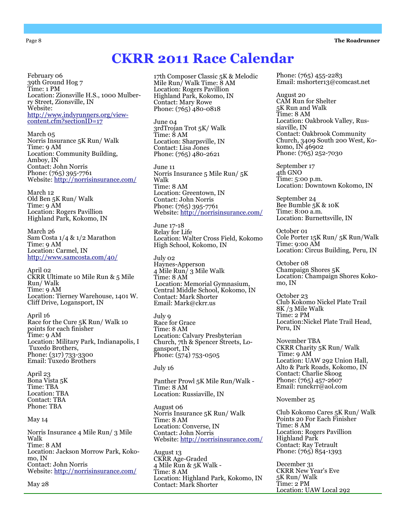#### Page 8 **The Roadrunner**

#### February 06 39th Ground Hog 7 Time: 1 PM Location: Zionsville H.S., 1000 Mulberry Street, Zionsville, IN Website: http://www.indyrunners.org/viewcontent.cfm?sectionID=17

March 05 Norris Insurance 5K Run/ Walk Time: 9 AM Location: Community Building, Amboy, IN Contact: John Norris Phone: (765) 395-7761 Website: http://norrisinsurance.com/

March 12 Old Ben 5K Run/ Walk Time: 9 AM Location: Rogers Pavillion Highland Park, Kokomo, IN

March 26 Sam Costa 1/4 & 1/2 Marathon Time: 9 AM Location: Carmel, IN http://www.samcosta.com/40/

April 02 CKRR Ultimate 10 Mile Run & 5 Mile Run/ Walk Time: 9 AM Location: Tierney Warehouse, 1401 W. Cliff Drive, Logansport, IN

April 16 Race for the Cure 5K Run/ Walk 10 points for each finisher Time: 9 AM Location: Military Park, Indianapolis, I Tuxedo Brothers, Phone: (317) 733-3300 Email: Tuxedo Brothers

April 23 Bona Vista 5K Time: TBA Location: TBA Contact: TBA Phone: TBA

May 14

Norris Insurance 4 Mile Run/ 3 Mile Walk Time: 8 AM Location: Jackson Morrow Park, Kokomo, IN Contact: John Norris Website: http://norrisinsurance.com/

May 28

17th Composer Classic 5K & Melodic Mile Run/ Walk Time: 8 AM Location: Rogers Pavillion Highland Park, Kokomo, IN Contact: Mary Rowe Phone: (765) 480-0818

CKRR 2011 Race Calendar

June 04 3rdTrojan Trot 5K/ Walk Time: 8 AM Location: Sharpsville, IN Contact: Lisa Jones Phone: (765) 480-2621

June 11 Norris Insurance 5 Mile Run/ 5K Walk Time: 8 AM Location: Greentown, IN Contact: John Norris Phone: (765) 395-7761 Website: http://norrisinsurance.com/

June 17-18 Relay for Life Location: Walter Cross Field, Kokomo High School, Kokomo, IN

July 02 Haynes-Apperson 4 Mile Run/ 3 Mile Walk Time: 8 AM Location: Memorial Gymnasium, Central Middle School, Kokomo, IN Contact: Mark Shorter Email: Mark@ckrr.us

July 9 Race for Grace Time: 8 AM Location: Calvary Presbyterian Church, 7th & Spencer Streets, Logansport, IN Phone: (574) 753-0505

#### July 16

Panther Prowl 5K Mile Run/Walk - Time: 8 AM Location: Russiaville, IN

August 06 Norris Insurance 5K Run/ Walk Time: 8 AM Location: Converse, IN Contact: John Norris Website: http://norrisinsurance.com/

August 13 CKRR Age-Graded 4 Mile Run & 5K Walk - Time: 8 AM Location: Highland Park, Kokomo, IN Contact: Mark Shorter

Phone: (765) 455-2283 Email: mshorter13@comcast.net

August 20 CAM Run for Shelter 5K Run and Walk Time: 8 AM Location: Oakbrook Valley, Russiaville, IN Contact: Oakbrook Community Church, 3409 South 200 West, Kokomo, IN 46902 Phone: (765) 252-7030

September 17 4th GNO Time: 5:00 p.m. Location: Downtown Kokomo, IN

September 24 Bee Bumble 5K & 10K Time: 8:00 a.m. Location: Burnettsville, IN

October 01 Cole Porter 15K Run/ 5K Run/Walk Time: 9:00 AM Location: Circus Building, Peru, IN

October 08 Champaign Shores 5K Location: Champaign Shores Kokomo, IN

October 23 Club Kokomo Nickel Plate Trail 8K /3 Mile Walk Time: 2 PM Location:Nickel Plate Trail Head, Peru, IN

November TBA CKRR Charity 5K Run/ Walk Time: 9 AM Location: UAW 292 Union Hall, Alto & Park Roads, Kokomo, IN Contact: Charlie Skoog Phone: (765) 457-2607 Email: runckrr@aol.com

November 25

Club Kokomo Cares 5K Run/ Walk Points 20 For Each Finisher Time: 8 AM Location: Rogers Pavillion Highland Park Contact: Ray Tetrault Phone: (765) 854-1393

December 31 CKRR New Year's Eve 5K Run/ Walk Time: 2 PM Location: UAW Local 292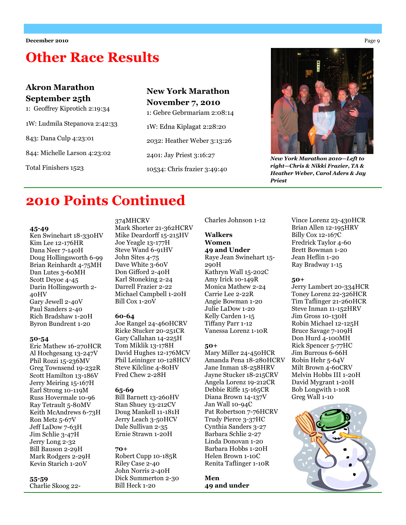# Other Race Results

### Akron Marathon September 25th

1: Geoffrey Kiprotich 2:19:34

1W: Ludmila Stepanova 2:42:33

843: Dana Culp 4:23:01

844: Michelle Larson 4:23:02

Total Finishers 1523

### New York Marathon November 7, 2010 1: Gebre Gebrmariam 2:08:14

1W: Edna Kiplagat 2:28:20 2032: Heather Weber 3:13:26 2401: Jay Priest 3:16:27

10534: Chris frazier 3:49:40

![](_page_8_Picture_11.jpeg)

New York Marathon 2010—Left to right—Chris & Nikki Frazier, TA & Heather Weber, Carol Aders & Jay Priest

### 2010 Points Continued

#### 45-49

Ken Swinehart 18-330HV Kim Lee 12-176HR Dana Neer 7-140H Doug Hollingsworth 6-99 Brian Reinhardt 4-75MH Dan Lutes 3-60MH Scott Deyoe 4-45 Darin Hollingsworth 2- 40HV Gary Jewell 2-40V Paul Sanders 2-40 Rich Bradshaw 1-20H Byron Bundrent 1-20

#### 50-54

Eric Mathew 16-270HCR Al Hochgesang 13-247V Phil Rozzi 15-236MV Greg Townsend 19-232R Scott Hamilton 13-186V Jerry Meiring 15-167H Earl Strong 10-119M Russ Hovermale 10-96 Ray Tetrault 5-80MV Keith McAndrews 6-73H Ron Metz 5-67V Jeff LaDow 7-63H Jim Schlie 3-47H Jerry Long 2-32 Bill Bauson 2-29H Mark Rodgers 2-29H Kevin Starich 1-20V

55-59

Charlie Skoog 22-

#### 374MHCRV

Mark Shorter 21-362HCRV Mike Deardorff 15-215HV Joe Yeagle 13-177H Steve Wand 6-91HV John Sites 4-75 Dave White 3-60V Don Gifford 2-40H Karl Stoneking 2-24 Darrell Frazier 2-22 Michael Campbell 1-20H Bill Cox 1-20V

#### 60-64

Joe Rangel 24-460HCRV Ricke Stucker 20-251CR Gary Callahan 14-225H Tom Miklik 13-178H David Hughes 12-176MCV Phil Leininger 10-128HCV Steve Kilcline 4-80HV Fred Chew 2-28H

#### 65-69

Bill Barnett 13-260HV Stan Shuey 13-212CV Doug Mankell 11-181H Jerry Leach 3-50HCV Dale Sullivan 2-35 Ernie Strawn 1-20H

#### 70+

Robert Cupp 10-185R Riley Case 2-40 John Norris 2-40H Dick Summerton 2-30 Bill Heck 1-20

Charles Johnson 1-12

#### Walkers Women

49 and Under Raye Jean Swinehart 15- 290H Kathryn Wall 15-202C Amy Irick 10-149R Monica Mathew 2-24 Carrie Lee 2-22R Angie Bowman 1-20 Julie LaDow 1-20 Kelly Carden 1-15 Tiffany Parr 1-12 Vanessa Lorenz 1-10R

#### 50+

Mary Miller 24-450HCR Amanda Pena 18-280HCRV Jane Inman 18-258HRV Jayne Stucker 18-215CRV Angela Lorenz 19-212CR Debbie Riffe 15-165CR Diana Brown 14-137V Jan Wall 10-94C Pat Robertson 7-76HCRV Trudy Pierce 3-37HC Cynthia Sanders 3-27 Barbara Schlie 2-27 Linda Donovan 1-20 Barbara Hobbs 1-20H Helen Brown 1-10C Renita Taflinger 1-10R

Men 49 and under

Vince Lorenz 23-430HCR Brian Allen 12-195HRV Billy Cox 12-167C Fredrick Taylor 4-60 Brett Bowman 1-20 Jean Heflin 1-20 Ray Bradway 1-15

#### 50+

Jerry Lambert 20-334HCR Toney Lorenz 22-326HCR Tim Taflinger 21-260HCR Steve Inman 11-152HRV Jim Gross 10-130H Robin Michael 12-125H Bruce Savage 7-109H Don Hurd 4-100MH Rick Spencer 5-77HC Jim Burrous 6-66H Robin Hehr 5-64V Milt Brown 4-60CRV Melvin Hobbs III 1-20H David Mygrant 1-20H Bob Longwith 1-10R Greg Wall 1-10

![](_page_8_Picture_37.jpeg)